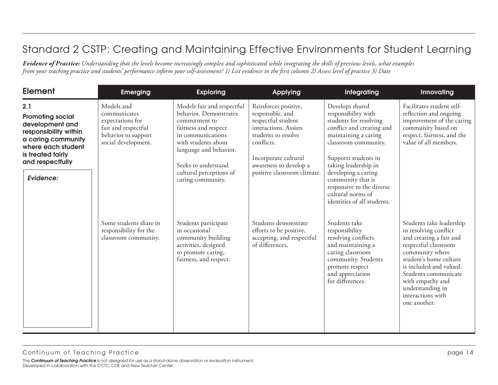| <b>Element</b>                                                                                                                                                               | <b>Emerging</b>                                                                                                     | <b>Exploring</b>                                                                                                                                                                                                                           | <b>Applying</b>                                                                                                                                                                                               | Integrating                                                                                                                                                                                                                                                                                                                | Innovating                                                                                                                                                                                                                                                                        |
|------------------------------------------------------------------------------------------------------------------------------------------------------------------------------|---------------------------------------------------------------------------------------------------------------------|--------------------------------------------------------------------------------------------------------------------------------------------------------------------------------------------------------------------------------------------|---------------------------------------------------------------------------------------------------------------------------------------------------------------------------------------------------------------|----------------------------------------------------------------------------------------------------------------------------------------------------------------------------------------------------------------------------------------------------------------------------------------------------------------------------|-----------------------------------------------------------------------------------------------------------------------------------------------------------------------------------------------------------------------------------------------------------------------------------|
| 2.1<br><b>Promoting social</b><br>development and<br>responsibility within<br>a caring community<br>where each student<br>is treated fairly<br>and respectfully<br>Evidence: | Models and<br>communicates<br>expectations for<br>fair and respectful<br>behavior to support<br>social development. | Models fair and respectful<br>behavior. Demonstrates<br>commitment to<br>fairness and respect<br>in communications<br>with students about<br>language and behavior.<br>Seeks to understand<br>cultural perceptions of<br>caring community. | Reinforces positive,<br>responsible, and<br>respectful student<br>interactions. Assists<br>students to resolve<br>conflicts.<br>Incorporate cultural<br>awareness to develop a<br>positive classroom climate. | Develops shared<br>responsibility with<br>students for resolving<br>conflict and creating and<br>maintaining a caring<br>classroom community.<br>Supports students in<br>taking leadership in<br>developing a caring<br>community that is<br>responsive to the diverse<br>cultural norms of<br>identities of all students. | Facilitates student self-<br>reflection and ongoing<br>improvement of the caring<br>community based on<br>respect, fairness, and the<br>value of all members.                                                                                                                     |
|                                                                                                                                                                              | Some students share in<br>responsibility for the<br>classroom community.                                            | Students participate<br>in occasional<br>community building<br>activities, designed<br>to promote caring,<br>fairness, and respect.                                                                                                        | Students demonstrate<br>efforts to be positive,<br>accepting, and respectful<br>of differences.                                                                                                               | Students take<br>responsibility<br>resolving conflicts<br>and maintaining a<br>caring classroom<br>community. Students<br>promote respect<br>and appreciation<br>for differences.                                                                                                                                          | Students take leadership<br>in resolving conflict<br>and creating a fair and<br>respectful classroom<br>community where<br>student's home culture<br>is included and valued.<br>Students communicate<br>with empathy and<br>understanding in<br>interactions with<br>one another. |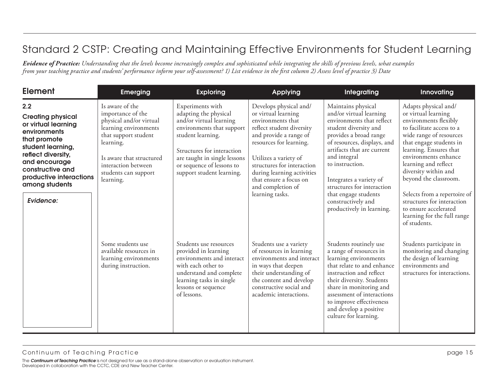| <b>Element</b>                                                                                                                                                                                                                   | <b>Emerging</b>                                                                                                                                                                                                       | <b>Exploring</b>                                                                                                                                                                                                                               | Applying                                                                                                                                                                                                                                                                                                    | Integrating                                                                                                                                                                                                                                                                                                                                                       | Innovating                                                                                                                                                                                                                                                                                                                                                                                                               |
|----------------------------------------------------------------------------------------------------------------------------------------------------------------------------------------------------------------------------------|-----------------------------------------------------------------------------------------------------------------------------------------------------------------------------------------------------------------------|------------------------------------------------------------------------------------------------------------------------------------------------------------------------------------------------------------------------------------------------|-------------------------------------------------------------------------------------------------------------------------------------------------------------------------------------------------------------------------------------------------------------------------------------------------------------|-------------------------------------------------------------------------------------------------------------------------------------------------------------------------------------------------------------------------------------------------------------------------------------------------------------------------------------------------------------------|--------------------------------------------------------------------------------------------------------------------------------------------------------------------------------------------------------------------------------------------------------------------------------------------------------------------------------------------------------------------------------------------------------------------------|
| 2.2<br><b>Creating physical</b><br>or virtual learning<br>environments<br>that promote<br>student learning,<br>reflect diversity,<br>and encourage<br>constructive and<br>productive interactions<br>among students<br>Evidence: | Is aware of the<br>importance of the<br>physical and/or virtual<br>learning environments<br>that support student<br>learning.<br>Is aware that structured<br>interaction between<br>students can support<br>learning. | Experiments with<br>adapting the physical<br>and/or virtual learning<br>environments that support<br>student learning.<br>Structures for interaction<br>are taught in single lessons<br>or sequence of lessons to<br>support student learning. | Develops physical and/<br>or virtual learning<br>environments that<br>reflect student diversity<br>and provide a range of<br>resources for learning.<br>Utilizes a variety of<br>structures for interaction<br>during learning activities<br>that ensure a focus on<br>and completion of<br>learning tasks. | Maintains physical<br>and/or virtual learning<br>environments that reflect<br>student diversity and<br>provides a broad range<br>of resources, displays, and<br>artifacts that are current<br>and integral<br>to instruction.<br>Integrates a variety of<br>structures for interaction<br>that engage students<br>constructively and<br>productively in learning. | Adapts physical and/<br>or virtual learning<br>environments flexibly<br>to facilitate access to a<br>wide range of resources<br>that engage students in<br>learning. Ensures that<br>environments enhance<br>learning and reflect<br>diversity within and<br>beyond the classroom.<br>Selects from a repertoire of<br>structures for interaction<br>to ensure accelerated<br>learning for the full range<br>of students. |
|                                                                                                                                                                                                                                  | Some students use<br>available resources in<br>learning environments<br>during instruction.                                                                                                                           | Students use resources<br>provided in learning<br>environments and interact<br>with each other to<br>understand and complete<br>learning tasks in single<br>lessons or sequence<br>of lessons.                                                 | Students use a variety<br>of resources in learning<br>environments and interact<br>in ways that deepen<br>their understanding of<br>the content and develop<br>constructive social and<br>academic interactions.                                                                                            | Students routinely use<br>a range of resources in<br>learning environments<br>that relate to and enhance<br>instruction and reflect<br>their diversity. Students<br>share in monitoring and<br>assessment of interactions<br>to improve effectiveness<br>and develop a positive<br>culture for learning.                                                          | Students participate in<br>monitoring and changing<br>the design of learning<br>environments and<br>structures for interactions.                                                                                                                                                                                                                                                                                         |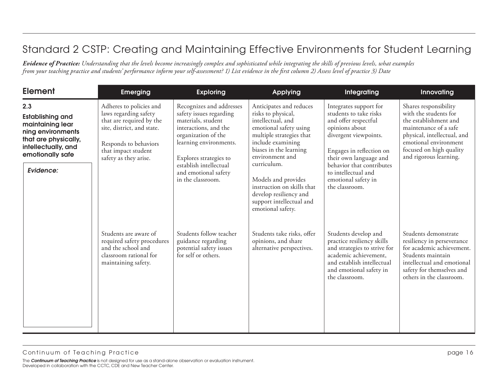| <b>Element</b>                                                                                                                                          | <b>Emerging</b>                                                                                                                                                                     | <b>Exploring</b>                                                                                                                                                                                                                                     | <b>Applying</b>                                                                                                                                                                                                                                                                                                                           | Integrating                                                                                                                                                                                                                                                            | Innovating                                                                                                                                                                                                    |
|---------------------------------------------------------------------------------------------------------------------------------------------------------|-------------------------------------------------------------------------------------------------------------------------------------------------------------------------------------|------------------------------------------------------------------------------------------------------------------------------------------------------------------------------------------------------------------------------------------------------|-------------------------------------------------------------------------------------------------------------------------------------------------------------------------------------------------------------------------------------------------------------------------------------------------------------------------------------------|------------------------------------------------------------------------------------------------------------------------------------------------------------------------------------------------------------------------------------------------------------------------|---------------------------------------------------------------------------------------------------------------------------------------------------------------------------------------------------------------|
| 2.3<br><b>Establishing and</b><br>maintaining lear<br>ning environments<br>that are physically,<br>intellectually, and<br>emotionally safe<br>Evidence: | Adheres to policies and<br>laws regarding safety<br>that are required by the<br>site, district, and state.<br>Responds to behaviors<br>that impact student<br>safety as they arise. | Recognizes and addresses<br>safety issues regarding<br>materials, student<br>interactions, and the<br>organization of the<br>learning environments.<br>Explores strategies to<br>establish intellectual<br>and emotional safety<br>in the classroom. | Anticipates and reduces<br>risks to physical,<br>intellectual, and<br>emotional safety using<br>multiple strategies that<br>include examining<br>biases in the learning<br>environment and<br>curriculum.<br>Models and provides<br>instruction on skills that<br>develop resiliency and<br>support intellectual and<br>emotional safety. | Integrates support for<br>students to take risks<br>and offer respectful<br>opinions about<br>divergent viewpoints.<br>Engages in reflection on<br>their own language and<br>behavior that contributes<br>to intellectual and<br>emotional safety in<br>the classroom. | Shares responsibility<br>with the students for<br>the establishment and<br>maintenance of a safe<br>physical, intellectual, and<br>emotional environment<br>focused on high quality<br>and rigorous learning. |
|                                                                                                                                                         | Students are aware of<br>required safety procedures<br>and the school and<br>classroom rational for<br>maintaining safety.                                                          | Students follow teacher<br>guidance regarding<br>potential safety issues<br>for self or others.                                                                                                                                                      | Students take risks, offer<br>opinions, and share<br>alternative perspectives.                                                                                                                                                                                                                                                            | Students develop and<br>practice resiliency skills<br>and strategies to strive for<br>academic achievement,<br>and establish intellectual<br>and emotional safety in<br>the classroom.                                                                                 | Students demonstrate<br>resiliency in perseverance<br>for academic achievement.<br>Students maintain<br>intellectual and emotional<br>safety for themselves and<br>others in the classroom.                   |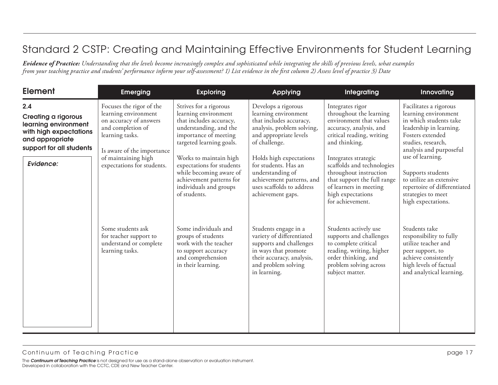| <b>Element</b>                                                                                                                     | <b>Emerging</b>                                                                                                                                  | <b>Exploring</b>                                                                                                                                         | <b>Applying</b>                                                                                                                                                          | Integrating                                                                                                                                                                    | Innovating                                                                                                                                                                                   |
|------------------------------------------------------------------------------------------------------------------------------------|--------------------------------------------------------------------------------------------------------------------------------------------------|----------------------------------------------------------------------------------------------------------------------------------------------------------|--------------------------------------------------------------------------------------------------------------------------------------------------------------------------|--------------------------------------------------------------------------------------------------------------------------------------------------------------------------------|----------------------------------------------------------------------------------------------------------------------------------------------------------------------------------------------|
| 2.4<br><b>Creating a rigorous</b><br>learning environment<br>with high expectations<br>and appropriate<br>support for all students | Focuses the rigor of the<br>learning environment<br>on accuracy of answers<br>and completion of<br>learning tasks.<br>Is aware of the importance | Strives for a rigorous<br>learning environment<br>that includes accuracy,<br>understanding, and the<br>importance of meeting<br>targeted learning goals. | Develops a rigorous<br>learning environment<br>that includes accuracy,<br>analysis, problem solving,<br>and appropriate levels<br>of challenge.                          | Integrates rigor<br>throughout the learning<br>environment that values<br>accuracy, analysis, and<br>critical reading, writing<br>and thinking.                                | Facilitates a rigorous<br>learning environment<br>in which students take<br>leadership in learning.<br>Fosters extended<br>studies, research,<br>analysis and purposeful<br>use of learning. |
| Evidence:                                                                                                                          | of maintaining high<br>expectations for students.                                                                                                | Works to maintain high<br>expectations for students<br>while becoming aware of<br>achievement patterns for<br>individuals and groups<br>of students.     | Holds high expectations<br>for students. Has an<br>understanding of<br>achievement patterns, and<br>uses scaffolds to address<br>achievement gaps.                       | Integrates strategic<br>scaffolds and technologies<br>throughout instruction<br>that support the full range<br>of learners in meeting<br>high expectations<br>for achievement. | Supports students<br>to utilize an extensive<br>repertoire of differentiated<br>strategies to meet<br>high expectations.                                                                     |
|                                                                                                                                    | Some students ask<br>for teacher support to<br>understand or complete<br>learning tasks.                                                         | Some individuals and<br>groups of students<br>work with the teacher<br>to support accuracy<br>and comprehension<br>in their learning.                    | Students engage in a<br>variety of differentiated<br>supports and challenges<br>in ways that promote<br>their accuracy, analysis,<br>and problem solving<br>in learning. | Students actively use<br>supports and challenges<br>to complete critical<br>reading, writing, higher<br>order thinking, and<br>problem solving across<br>subject matter.       | Students take<br>responsibility to fully<br>utilize teacher and<br>peer support, to<br>achieve consistently<br>high levels of factual<br>and analytical learning.                            |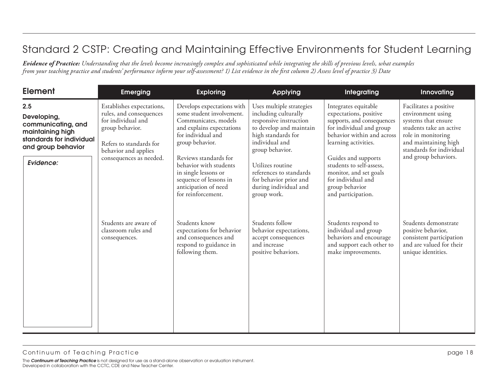| <b>Element</b>                                                                                                              | <b>Emerging</b>                                                                                                                                                             | <b>Exploring</b>                                                                                                                                                                                                                                                                                         | <b>Applying</b>                                                                                                                                                                                                                                                                   | Integrating                                                                                                                                                                                                                                                                                               | Innovating                                                                                                                                                                                      |
|-----------------------------------------------------------------------------------------------------------------------------|-----------------------------------------------------------------------------------------------------------------------------------------------------------------------------|----------------------------------------------------------------------------------------------------------------------------------------------------------------------------------------------------------------------------------------------------------------------------------------------------------|-----------------------------------------------------------------------------------------------------------------------------------------------------------------------------------------------------------------------------------------------------------------------------------|-----------------------------------------------------------------------------------------------------------------------------------------------------------------------------------------------------------------------------------------------------------------------------------------------------------|-------------------------------------------------------------------------------------------------------------------------------------------------------------------------------------------------|
| 2.5<br>Developing,<br>communicating, and<br>maintaining high<br>standards for individual<br>and group behavior<br>Evidence: | Establishes expectations,<br>rules, and consequences<br>for individual and<br>group behavior.<br>Refers to standards for<br>behavior and applies<br>consequences as needed. | Develops expectations with<br>some student involvement.<br>Communicates, models<br>and explains expectations<br>for individual and<br>group behavior.<br>Reviews standards for<br>behavior with students<br>in single lessons or<br>sequence of lessons in<br>anticipation of need<br>for reinforcement. | Uses multiple strategies<br>including culturally<br>responsive instruction<br>to develop and maintain<br>high standards for<br>individual and<br>group behavior.<br>Utilizes routine<br>references to standards<br>for behavior prior and<br>during individual and<br>group work. | Integrates equitable<br>expectations, positive<br>supports, and consequences<br>for individual and group<br>behavior within and across<br>learning activities.<br>Guides and supports<br>students to self-assess,<br>monitor, and set goals<br>for individual and<br>group behavior<br>and participation. | Facilitates a positive<br>environment using<br>systems that ensure<br>students take an active<br>role in monitoring<br>and maintaining high<br>standards for individual<br>and group behaviors. |
|                                                                                                                             | Students are aware of<br>classroom rules and<br>consequences.                                                                                                               | Students know<br>expectations for behavior<br>and consequences and<br>respond to guidance in<br>following them.                                                                                                                                                                                          | Students follow<br>behavior expectations,<br>accept consequences<br>and increase<br>positive behaviors.                                                                                                                                                                           | Students respond to<br>individual and group<br>behaviors and encourage<br>and support each other to<br>make improvements.                                                                                                                                                                                 | Students demonstrate<br>positive behavior,<br>consistent participation<br>and are valued for their<br>unique identities.                                                                        |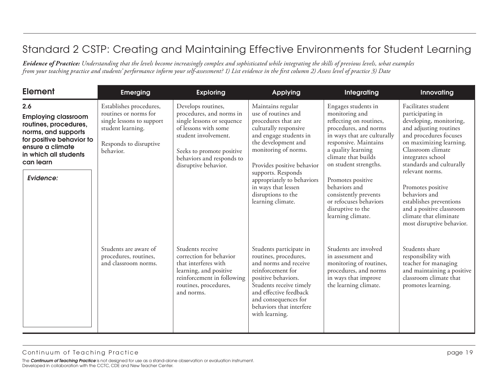| <b>Element</b>                                                                                                                                                                       | <b>Emerging</b>                                                                                                                           | <b>Exploring</b>                                                                                                                                                                                               | <b>Applying</b>                                                                                                                                                                                                                                                                                                       | Integrating                                                                                                                                                                                                                                                                                                                                                | Innovating                                                                                                                                                                                                                                                                                                                                                                                     |
|--------------------------------------------------------------------------------------------------------------------------------------------------------------------------------------|-------------------------------------------------------------------------------------------------------------------------------------------|----------------------------------------------------------------------------------------------------------------------------------------------------------------------------------------------------------------|-----------------------------------------------------------------------------------------------------------------------------------------------------------------------------------------------------------------------------------------------------------------------------------------------------------------------|------------------------------------------------------------------------------------------------------------------------------------------------------------------------------------------------------------------------------------------------------------------------------------------------------------------------------------------------------------|------------------------------------------------------------------------------------------------------------------------------------------------------------------------------------------------------------------------------------------------------------------------------------------------------------------------------------------------------------------------------------------------|
| 2.6<br><b>Employing classroom</b><br>routines, procedures,<br>norms, and supports<br>for positive behavior to<br>ensure a climate<br>in which all students<br>can learn<br>Evidence: | Establishes procedures,<br>routines or norms for<br>single lessons to support<br>student learning.<br>Responds to disruptive<br>behavior. | Develops routines,<br>procedures, and norms in<br>single lessons or sequence<br>of lessons with some<br>student involvement.<br>Seeks to promote positive<br>behaviors and responds to<br>disruptive behavior. | Maintains regular<br>use of routines and<br>procedures that are<br>culturally responsive<br>and engage students in<br>the development and<br>monitoring of norms.<br>Provides positive behavior<br>supports. Responds<br>appropriately to behaviors<br>in ways that lessen<br>disruptions to the<br>learning climate. | Engages students in<br>monitoring and<br>reflecting on routines,<br>procedures, and norms<br>in ways that are culturally<br>responsive. Maintains<br>a quality learning<br>climate that builds<br>on student strengths.<br>Promotes positive<br>behaviors and<br>consistently prevents<br>or refocuses behaviors<br>disruptive to the<br>learning climate. | Facilitates student<br>participating in<br>developing, monitoring,<br>and adjusting routines<br>and procedures focuses<br>on maximizing learning.<br>Classroom climate<br>integrates school<br>standards and culturally<br>relevant norms.<br>Promotes positive<br>behaviors and<br>establishes preventions<br>and a positive classroom<br>climate that eliminate<br>most disruptive behavior. |
|                                                                                                                                                                                      | Students are aware of<br>procedures, routines,<br>and classroom norms.                                                                    | Students receive<br>correction for behavior<br>that interferes with<br>learning, and positive<br>reinforcement in following<br>routines, procedures,<br>and norms.                                             | Students participate in<br>routines, procedures,<br>and norms and receive<br>reinforcement for<br>positive behaviors.<br>Students receive timely<br>and effective feedback<br>and consequences for<br>behaviors that interfere<br>with learning.                                                                      | Students are involved<br>in assessment and<br>monitoring of routines,<br>procedures, and norms<br>in ways that improve<br>the learning climate.                                                                                                                                                                                                            | Students share<br>responsibility with<br>teacher for managing<br>and maintaining a positive<br>classroom climate that<br>promotes learning.                                                                                                                                                                                                                                                    |